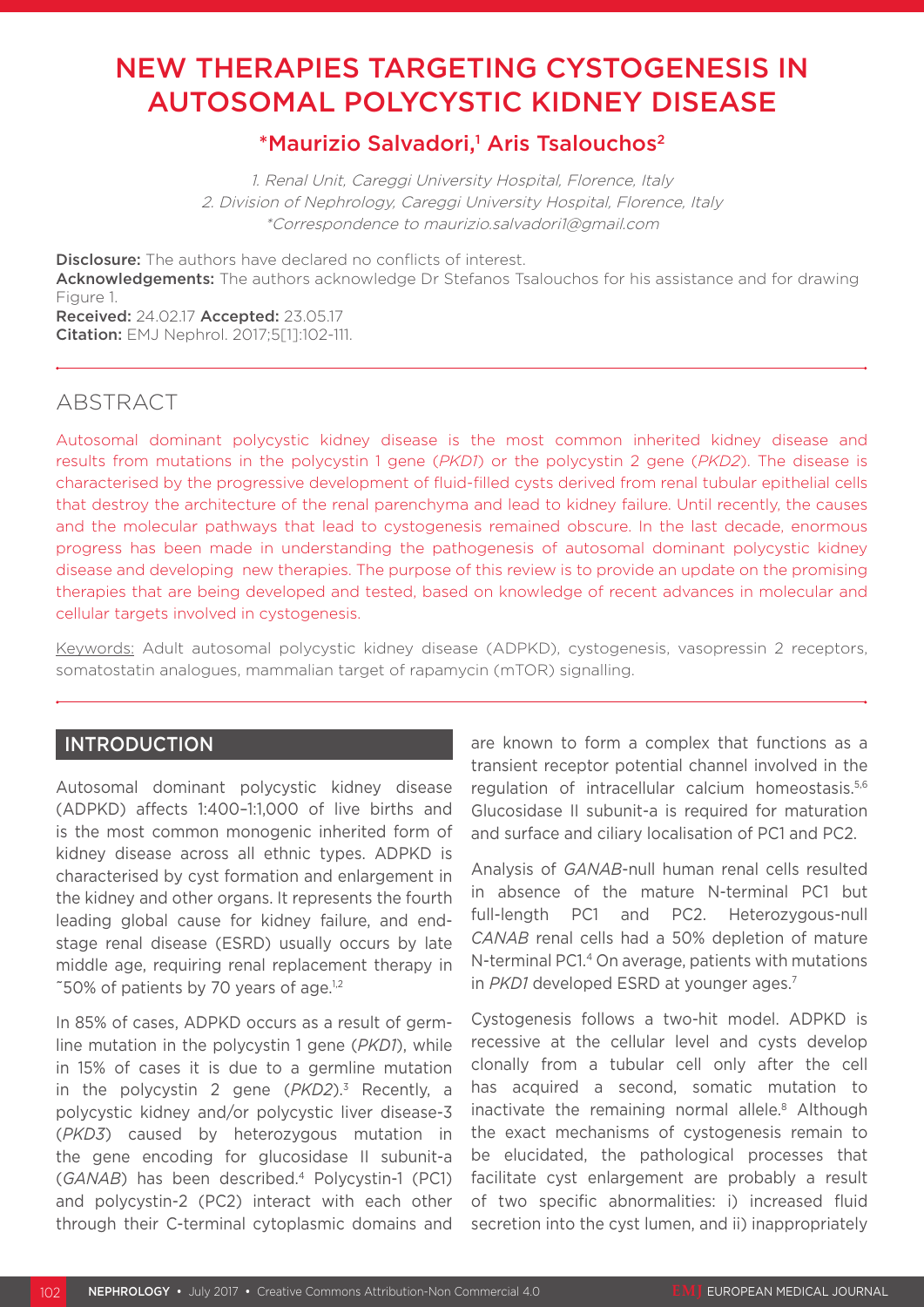# NEW THERAPIES TARGETING CYSTOGENESIS IN AUTOSOMAL POLYCYSTIC KIDNEY DISEASE

# \*Maurizio Salvadori,<sup>1</sup> Aris Tsalouchos<sup>2</sup>

1. Renal Unit, Careggi University Hospital, Florence, Italy 2. Division of Nephrology, Careggi University Hospital, Florence, Italy \*Correspondence to maurizio.salvadori1@gmail.com

Disclosure: The authors have declared no conflicts of interest. Acknowledgements: The authors acknowledge Dr Stefanos Tsalouchos for his assistance and for drawing Figure 1.

Received: 24.02.17 Accepted: 23.05.17 Citation: EMJ Nephrol. 2017;5[1]:102-111.

# ABSTRACT

Autosomal dominant polycystic kidney disease is the most common inherited kidney disease and results from mutations in the polycystin 1 gene (*PKD1*) or the polycystin 2 gene (*PKD2*). The disease is characterised by the progressive development of fluid-filled cysts derived from renal tubular epithelial cells that destroy the architecture of the renal parenchyma and lead to kidney failure. Until recently, the causes and the molecular pathways that lead to cystogenesis remained obscure. In the last decade, enormous progress has been made in understanding the pathogenesis of autosomal dominant polycystic kidney disease and developing new therapies. The purpose of this review is to provide an update on the promising therapies that are being developed and tested, based on knowledge of recent advances in molecular and cellular targets involved in cystogenesis.

Keywords: Adult autosomal polycystic kidney disease (ADPKD), cystogenesis, vasopressin 2 receptors, somatostatin analogues, mammalian target of rapamycin (mTOR) signalling.

# **INTRODUCTION**

Autosomal dominant polycystic kidney disease (ADPKD) affects 1:400–1:1,000 of live births and is the most common monogenic inherited form of kidney disease across all ethnic types. ADPKD is characterised by cyst formation and enlargement in the kidney and other organs. It represents the fourth leading global cause for kidney failure, and endstage renal disease (ESRD) usually occurs by late middle age, requiring renal replacement therapy in ~50% of patients by 70 years of age.1,2

In 85% of cases, ADPKD occurs as a result of germline mutation in the polycystin 1 gene (*PKD1*), while in 15% of cases it is due to a germline mutation in the polycystin 2 gene (PKD2).<sup>3</sup> Recently, a polycystic kidney and/or polycystic liver disease-3 (*PKD3*) caused by heterozygous mutation in the gene encoding for glucosidase II subunit-a (*GANAB*) has been described.4 Polycystin-1 (PC1) and polycystin-2 (PC2) interact with each other through their C-terminal cytoplasmic domains and

are known to form a complex that functions as a transient receptor potential channel involved in the regulation of intracellular calcium homeostasis.5,6 Glucosidase II subunit-a is required for maturation and surface and ciliary localisation of PC1 and PC2.

Analysis of *GANAB*-null human renal cells resulted in absence of the mature N-terminal PC1 but full-length PC1 and PC2. Heterozygous-null *CANAB* renal cells had a 50% depletion of mature N-terminal PC1.4 On average, patients with mutations in *PKD1* developed ESRD at younger ages.7

Cystogenesis follows a two-hit model. ADPKD is recessive at the cellular level and cysts develop clonally from a tubular cell only after the cell has acquired a second, somatic mutation to inactivate the remaining normal allele.<sup>8</sup> Although the exact mechanisms of cystogenesis remain to be elucidated, the pathological processes that facilitate cyst enlargement are probably a result of two specific abnormalities: i) increased fluid secretion into the cyst lumen, and ii) inappropriately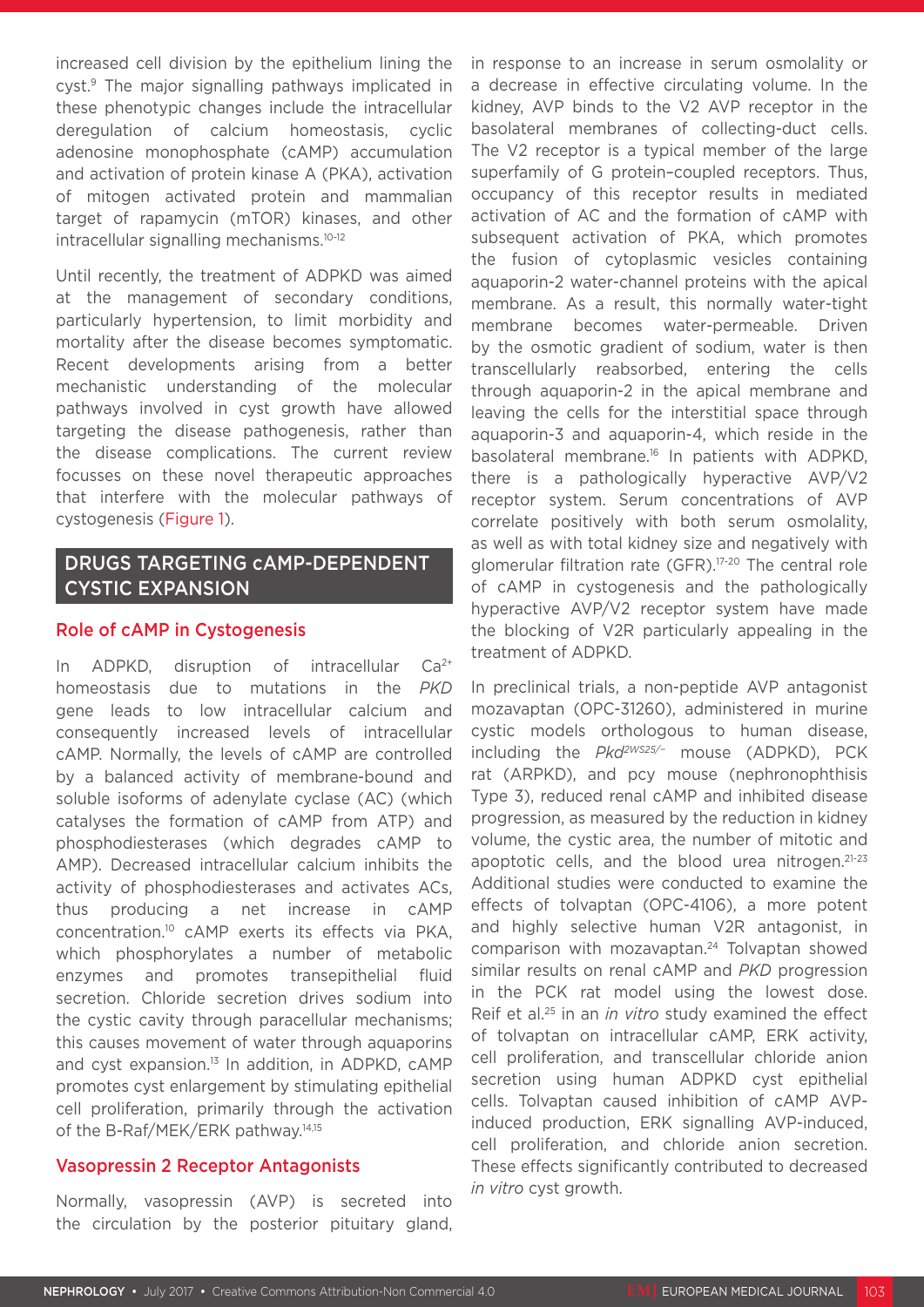increased cell division by the epithelium lining the cyst.9 The major signalling pathways implicated in these phenotypic changes include the intracellular deregulation of calcium homeostasis, cyclic adenosine monophosphate (cAMP) accumulation and activation of protein kinase A (PKA), activation of mitogen activated protein and mammalian target of rapamycin (mTOR) kinases, and other intracellular signalling mechanisms.10-12

Until recently, the treatment of ADPKD was aimed at the management of secondary conditions, particularly hypertension, to limit morbidity and mortality after the disease becomes symptomatic. Recent developments arising from a better mechanistic understanding of the molecular pathways involved in cyst growth have allowed targeting the disease pathogenesis, rather than the disease complications. The current review focusses on these novel therapeutic approaches that interfere with the molecular pathways of cystogenesis (Figure 1).

# DRUGS TARGETING cAMP-DEPENDENT CYSTIC EXPANSION

#### Role of cAMP in Cystogenesis

In ADPKD, disruption of intracellular  $Ca^{2+}$ homeostasis due to mutations in the *PKD* gene leads to low intracellular calcium and consequently increased levels of intracellular cAMP. Normally, the levels of cAMP are controlled by a balanced activity of membrane-bound and soluble isoforms of adenylate cyclase (AC) (which catalyses the formation of cAMP from ATP) and phosphodiesterases (which degrades cAMP to AMP). Decreased intracellular calcium inhibits the activity of phosphodiesterases and activates ACs, thus producing a net increase in cAMP concentration.10 cAMP exerts its effects via PKA, which phosphorylates a number of metabolic enzymes and promotes transepithelial fluid secretion. Chloride secretion drives sodium into the cystic cavity through paracellular mechanisms; this causes movement of water through aquaporins and cyst expansion.<sup>13</sup> In addition, in ADPKD, cAMP promotes cyst enlargement by stimulating epithelial cell proliferation, primarily through the activation of the B-Raf/MEK/ERK pathway.<sup>14,15</sup>

### Vasopressin 2 Receptor Antagonists

Normally, vasopressin (AVP) is secreted into the circulation by the posterior pituitary gland, in response to an increase in serum osmolality or a decrease in effective circulating volume. In the kidney, AVP binds to the V2 AVP receptor in the basolateral membranes of collecting-duct cells. The V2 receptor is a typical member of the large superfamily of G protein–coupled receptors. Thus, occupancy of this receptor results in mediated activation of AC and the formation of cAMP with subsequent activation of PKA, which promotes the fusion of cytoplasmic vesicles containing aquaporin-2 water-channel proteins with the apical membrane. As a result, this normally water-tight membrane becomes water-permeable. Driven by the osmotic gradient of sodium, water is then transcellularly reabsorbed, entering the cells through aquaporin-2 in the apical membrane and leaving the cells for the interstitial space through aquaporin-3 and aquaporin-4, which reside in the basolateral membrane.<sup>16</sup> In patients with ADPKD, there is a pathologically hyperactive AVP/V2 receptor system. Serum concentrations of AVP correlate positively with both serum osmolality, as well as with total kidney size and negatively with glomerular filtration rate (GFR).<sup>17-20</sup> The central role of cAMP in cystogenesis and the pathologically hyperactive AVP/V2 receptor system have made the blocking of V2R particularly appealing in the treatment of ADPKD.

In preclinical trials, a non-peptide AVP antagonist mozavaptan (OPC-31260), administered in murine cystic models orthologous to human disease, including the *Pkd2WS25/−* mouse (ADPKD), PCK rat (ARPKD), and pcy mouse (nephronophthisis Type 3), reduced renal cAMP and inhibited disease progression, as measured by the reduction in kidney volume, the cystic area, the number of mitotic and apoptotic cells, and the blood urea nitrogen.<sup>21-23</sup> Additional studies were conducted to examine the effects of tolvaptan (OPC-4106), a more potent and highly selective human V2R antagonist, in comparison with mozavaptan.<sup>24</sup> Tolvaptan showed similar results on renal cAMP and *PKD* progression in the PCK rat model using the lowest dose. Reif et al.25 in an *in vitro* study examined the effect of tolvaptan on intracellular cAMP, ERK activity, cell proliferation, and transcellular chloride anion secretion using human ADPKD cyst epithelial cells. Tolvaptan caused inhibition of cAMP AVPinduced production, ERK signalling AVP-induced, cell proliferation, and chloride anion secretion. These effects significantly contributed to decreased *in vitro* cyst growth.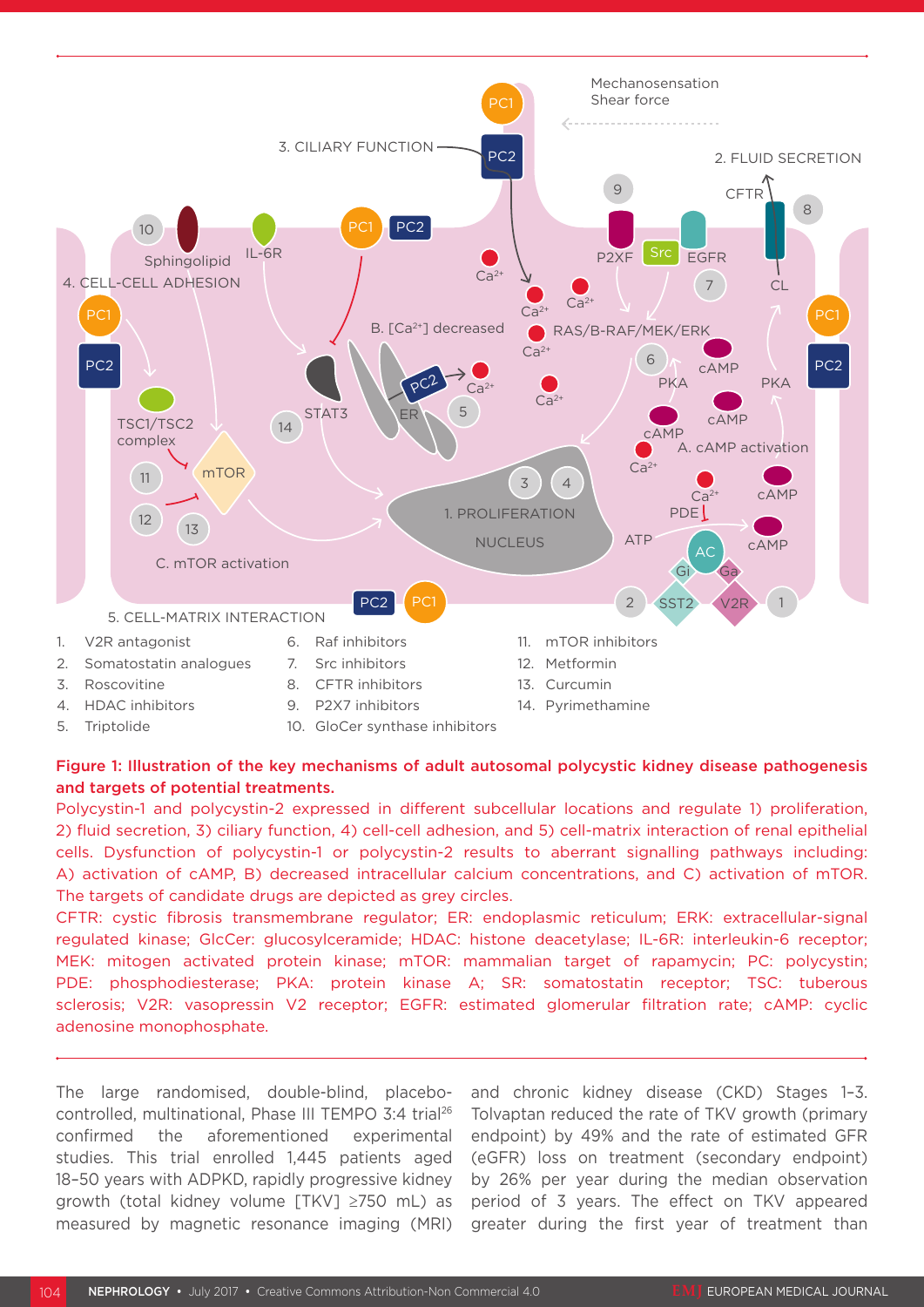

#### Figure 1: Illustration of the key mechanisms of adult autosomal polycystic kidney disease pathogenesis and targets of potential treatments.

Polycystin-1 and polycystin-2 expressed in different subcellular locations and regulate 1) proliferation, 2) fluid secretion, 3) ciliary function, 4) cell-cell adhesion, and 5) cell-matrix interaction of renal epithelial cells. Dysfunction of polycystin-1 or polycystin-2 results to aberrant signalling pathways including: A) activation of cAMP, B) decreased intracellular calcium concentrations, and C) activation of mTOR. The targets of candidate drugs are depicted as grey circles.

CFTR: cystic fibrosis transmembrane regulator; ER: endoplasmic reticulum; ERK: extracellular-signal regulated kinase; GlcCer: glucosylceramide; HDAC: histone deacetylase; IL-6R: interleukin-6 receptor; MEK: mitogen activated protein kinase; mTOR: mammalian target of rapamycin; PC: polycystin; PDE: phosphodiesterase; PKA: protein kinase A; SR: somatostatin receptor; TSC: tuberous sclerosis; V2R: vasopressin V2 receptor; EGFR: estimated glomerular filtration rate; cAMP: cyclic adenosine monophosphate.

The large randomised, double-blind, placebocontrolled, multinational, Phase III TEMPO 3:4 trial26 confirmed the aforementioned experimental studies. This trial enrolled 1,445 patients aged 18–50 years with ADPKD, rapidly progressive kidney growth (total kidney volume [TKV] ≥750 mL) as measured by magnetic resonance imaging (MRI)

and chronic kidney disease (CKD) Stages 1–3. Tolvaptan reduced the rate of TKV growth (primary endpoint) by 49% and the rate of estimated GFR (eGFR) loss on treatment (secondary endpoint) by 26% per year during the median observation period of 3 years. The effect on TKV appeared greater during the first year of treatment than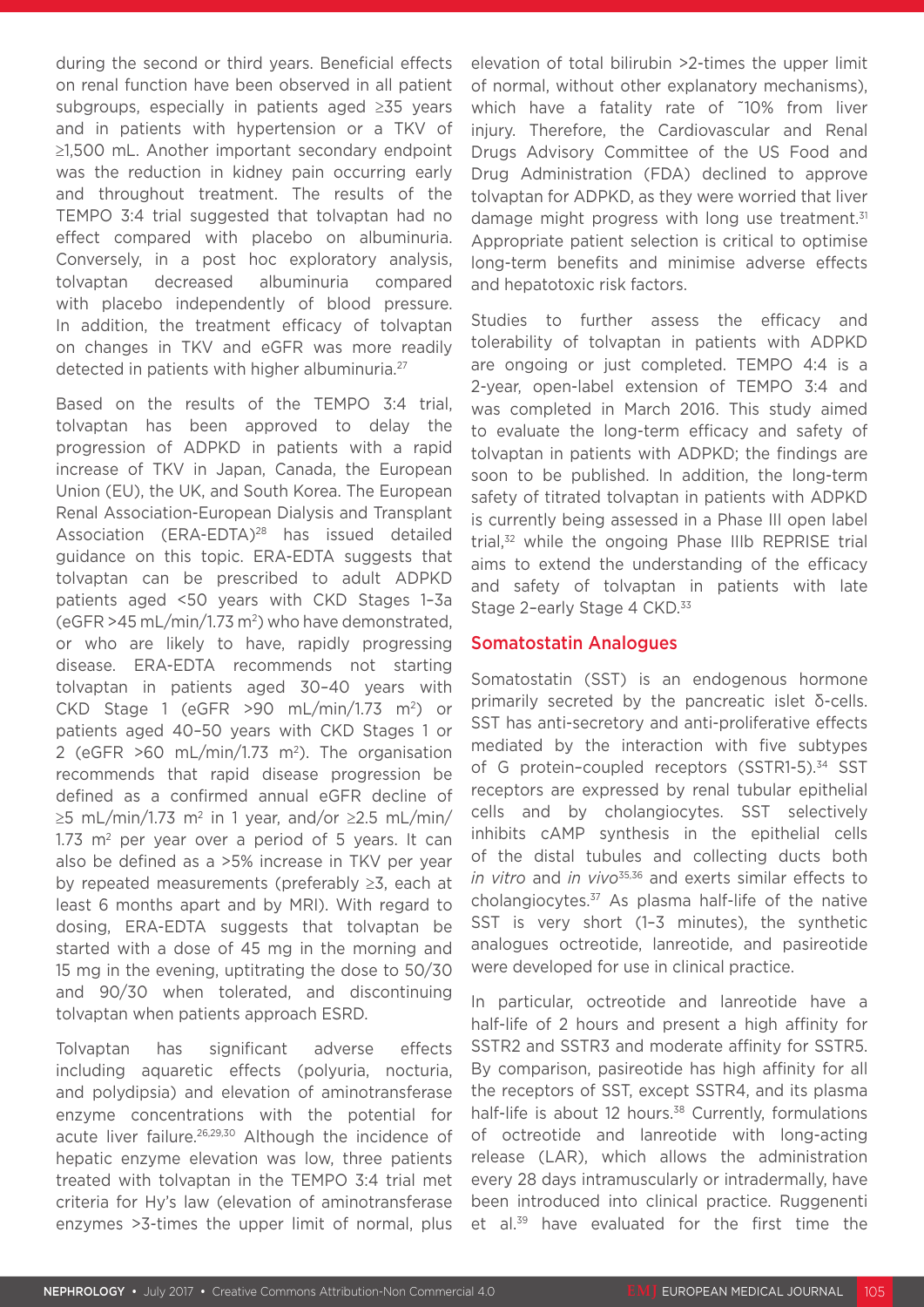during the second or third years. Beneficial effects on renal function have been observed in all patient subgroups, especially in patients aged ≥35 years and in patients with hypertension or a TKV of ≥1,500 mL. Another important secondary endpoint was the reduction in kidney pain occurring early and throughout treatment. The results of the TEMPO 3:4 trial suggested that tolvaptan had no effect compared with placebo on albuminuria. Conversely, in a post hoc exploratory analysis, tolvaptan decreased albuminuria compared with placebo independently of blood pressure. In addition, the treatment efficacy of tolvaptan on changes in TKV and eGFR was more readily detected in patients with higher albuminuria.27

Based on the results of the TEMPO 3:4 trial, tolvaptan has been approved to delay the progression of ADPKD in patients with a rapid increase of TKV in Japan, Canada, the European Union (EU), the UK, and South Korea. The European Renal Association-European Dialysis and Transplant Association (ERA-EDTA)<sup>28</sup> has issued detailed guidance on this topic. ERA-EDTA suggests that tolvaptan can be prescribed to adult ADPKD patients aged <50 years with CKD Stages 1–3a  $($ eGFR >45 mL/min/1.73 m<sup>2</sup>) who have demonstrated. or who are likely to have, rapidly progressing disease. ERA-EDTA recommends not starting tolvaptan in patients aged 30–40 years with CKD Stage 1 (eGFR  $>90$  mL/min/1.73 m<sup>2</sup>) or patients aged 40–50 years with CKD Stages 1 or 2 (eGFR  $>60$  mL/min/1.73 m<sup>2</sup>). The organisation recommends that rapid disease progression be defined as a confirmed annual eGFR decline of  $\geq$ 5 mL/min/1.73 m<sup>2</sup> in 1 year, and/or  $\geq$ 2.5 mL/min/  $1.73$  m<sup>2</sup> per year over a period of 5 years. It can also be defined as a >5% increase in TKV per year by repeated measurements (preferably ≥3, each at least 6 months apart and by MRI). With regard to dosing, ERA-EDTA suggests that tolvaptan be started with a dose of 45 mg in the morning and 15 mg in the evening, uptitrating the dose to 50/30 and 90/30 when tolerated, and discontinuing tolvaptan when patients approach ESRD.

Tolvaptan has significant adverse effects including aquaretic effects (polyuria, nocturia, and polydipsia) and elevation of aminotransferase enzyme concentrations with the potential for acute liver failure.<sup>26,29,30</sup> Although the incidence of hepatic enzyme elevation was low, three patients treated with tolvaptan in the TEMPO 3:4 trial met criteria for Hy's law (elevation of aminotransferase enzymes >3-times the upper limit of normal, plus

elevation of total bilirubin >2-times the upper limit of normal, without other explanatory mechanisms), which have a fatality rate of ~10% from liver injury. Therefore, the Cardiovascular and Renal Drugs Advisory Committee of the US Food and Drug Administration (FDA) declined to approve tolvaptan for ADPKD, as they were worried that liver damage might progress with long use treatment.<sup>31</sup> Appropriate patient selection is critical to optimise long-term benefits and minimise adverse effects and hepatotoxic risk factors.

Studies to further assess the efficacy and tolerability of tolvaptan in patients with ADPKD are ongoing or just completed. TEMPO 4:4 is a 2-year, open-label extension of TEMPO 3:4 and was completed in March 2016. This study aimed to evaluate the long-term efficacy and safety of tolvaptan in patients with ADPKD; the findings are soon to be published. In addition, the long-term safety of titrated tolvaptan in patients with ADPKD is currently being assessed in a Phase III open label trial,32 while the ongoing Phase IIIb REPRISE trial aims to extend the understanding of the efficacy and safety of tolvaptan in patients with late Stage 2-early Stage 4 CKD.<sup>33</sup>

#### Somatostatin Analogues

Somatostatin (SST) is an endogenous hormone primarily secreted by the pancreatic islet δ-cells. SST has anti-secretory and anti-proliferative effects mediated by the interaction with five subtypes of G protein-coupled receptors (SSTR1-5).<sup>34</sup> SST receptors are expressed by renal tubular epithelial cells and by cholangiocytes. SST selectively inhibits cAMP synthesis in the epithelial cells of the distal tubules and collecting ducts both *in vitro* and *in vivo*35,36 and exerts similar effects to cholangiocytes. $37$  As plasma half-life of the native SST is very short (1–3 minutes), the synthetic analogues octreotide, lanreotide, and pasireotide were developed for use in clinical practice.

In particular, octreotide and lanreotide have a half-life of 2 hours and present a high affinity for SSTR2 and SSTR3 and moderate affinity for SSTR5. By comparison, pasireotide has high affinity for all the receptors of SST, except SSTR4, and its plasma half-life is about 12 hours.<sup>38</sup> Currently, formulations of octreotide and lanreotide with long-acting release (LAR), which allows the administration every 28 days intramuscularly or intradermally, have been introduced into clinical practice. Ruggenenti et al.<sup>39</sup> have evaluated for the first time the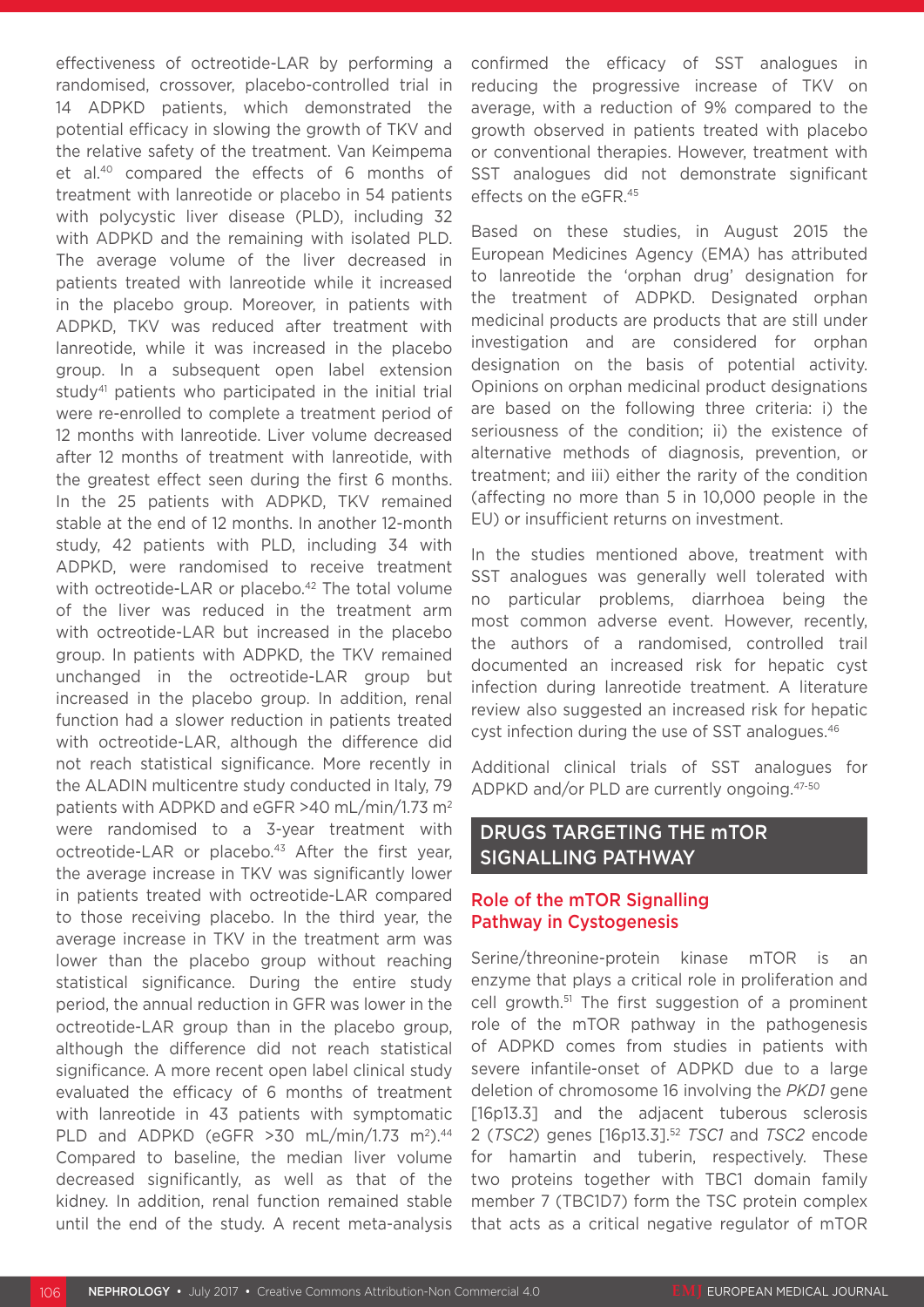effectiveness of octreotide-LAR by performing a randomised, crossover, placebo-controlled trial in 14 ADPKD patients, which demonstrated the potential efficacy in slowing the growth of TKV and the relative safety of the treatment. Van Keimpema et al.40 compared the effects of 6 months of treatment with lanreotide or placebo in 54 patients with polycystic liver disease (PLD), including 32 with ADPKD and the remaining with isolated PLD. The average volume of the liver decreased in patients treated with lanreotide while it increased in the placebo group. Moreover, in patients with ADPKD, TKV was reduced after treatment with lanreotide, while it was increased in the placebo group. In a subsequent open label extension study<sup>41</sup> patients who participated in the initial trial were re-enrolled to complete a treatment period of 12 months with lanreotide. Liver volume decreased after 12 months of treatment with lanreotide, with the greatest effect seen during the first 6 months. In the 25 patients with ADPKD, TKV remained stable at the end of 12 months. In another 12-month study, 42 patients with PLD, including 34 with ADPKD, were randomised to receive treatment with octreotide-LAR or placebo.<sup>42</sup> The total volume of the liver was reduced in the treatment arm with octreotide-LAR but increased in the placebo group. In patients with ADPKD, the TKV remained unchanged in the octreotide-LAR group but increased in the placebo group. In addition, renal function had a slower reduction in patients treated with octreotide-LAR, although the difference did not reach statistical significance. More recently in the ALADIN multicentre study conducted in Italy, 79 patients with ADPKD and eGFR >40 mL/min/1.73 m2 were randomised to a 3-year treatment with octreotide-LAR or placebo.<sup>43</sup> After the first year, the average increase in TKV was significantly lower in patients treated with octreotide-LAR compared to those receiving placebo. In the third year, the average increase in TKV in the treatment arm was lower than the placebo group without reaching statistical significance. During the entire study period, the annual reduction in GFR was lower in the octreotide-LAR group than in the placebo group, although the difference did not reach statistical significance. A more recent open label clinical study evaluated the efficacy of 6 months of treatment with lanreotide in 43 patients with symptomatic PLD and ADPKD (eGFR  $>30$  mL/min/1.73 m<sup>2</sup>).<sup>44</sup> Compared to baseline, the median liver volume decreased significantly, as well as that of the kidney. In addition, renal function remained stable until the end of the study. A recent meta-analysis

confirmed the efficacy of SST analogues in reducing the progressive increase of TKV on average, with a reduction of 9% compared to the growth observed in patients treated with placebo or conventional therapies. However, treatment with SST analogues did not demonstrate significant effects on the eGFR.45

Based on these studies, in August 2015 the European Medicines Agency (EMA) has attributed to lanreotide the 'orphan drug' designation for the treatment of ADPKD. Designated orphan medicinal products are products that are still under investigation and are considered for orphan designation on the basis of potential activity. Opinions on orphan medicinal product designations are based on the following three criteria: i) the seriousness of the condition; ii) the existence of alternative methods of diagnosis, prevention, or treatment; and iii) either the rarity of the condition (affecting no more than 5 in 10,000 people in the EU) or insufficient returns on investment.

In the studies mentioned above, treatment with SST analogues was generally well tolerated with no particular problems, diarrhoea being the most common adverse event. However, recently, the authors of a randomised, controlled trail documented an increased risk for hepatic cyst infection during lanreotide treatment. A literature review also suggested an increased risk for hepatic cyst infection during the use of SST analogues.46

Additional clinical trials of SST analogues for ADPKD and/or PLD are currently ongoing.47-50

### DRUGS TARGETING THE mTOR SIGNALLING PATHWAY

### Role of the mTOR Signalling Pathway in Cystogenesis

Serine/threonine-protein kinase mTOR is an enzyme that plays a critical role in proliferation and cell growth.51 The first suggestion of a prominent role of the mTOR pathway in the pathogenesis of ADPKD comes from studies in patients with severe infantile-onset of ADPKD due to a large deletion of chromosome 16 involving the *PKD1* gene [16p13.3] and the adjacent tuberous sclerosis 2 (*TSC2*) genes [16p13.3].52 *TSC1* and *TSC2* encode for hamartin and tuberin, respectively. These two proteins together with TBC1 domain family member 7 (TBC1D7) form the TSC protein complex that acts as a critical negative regulator of mTOR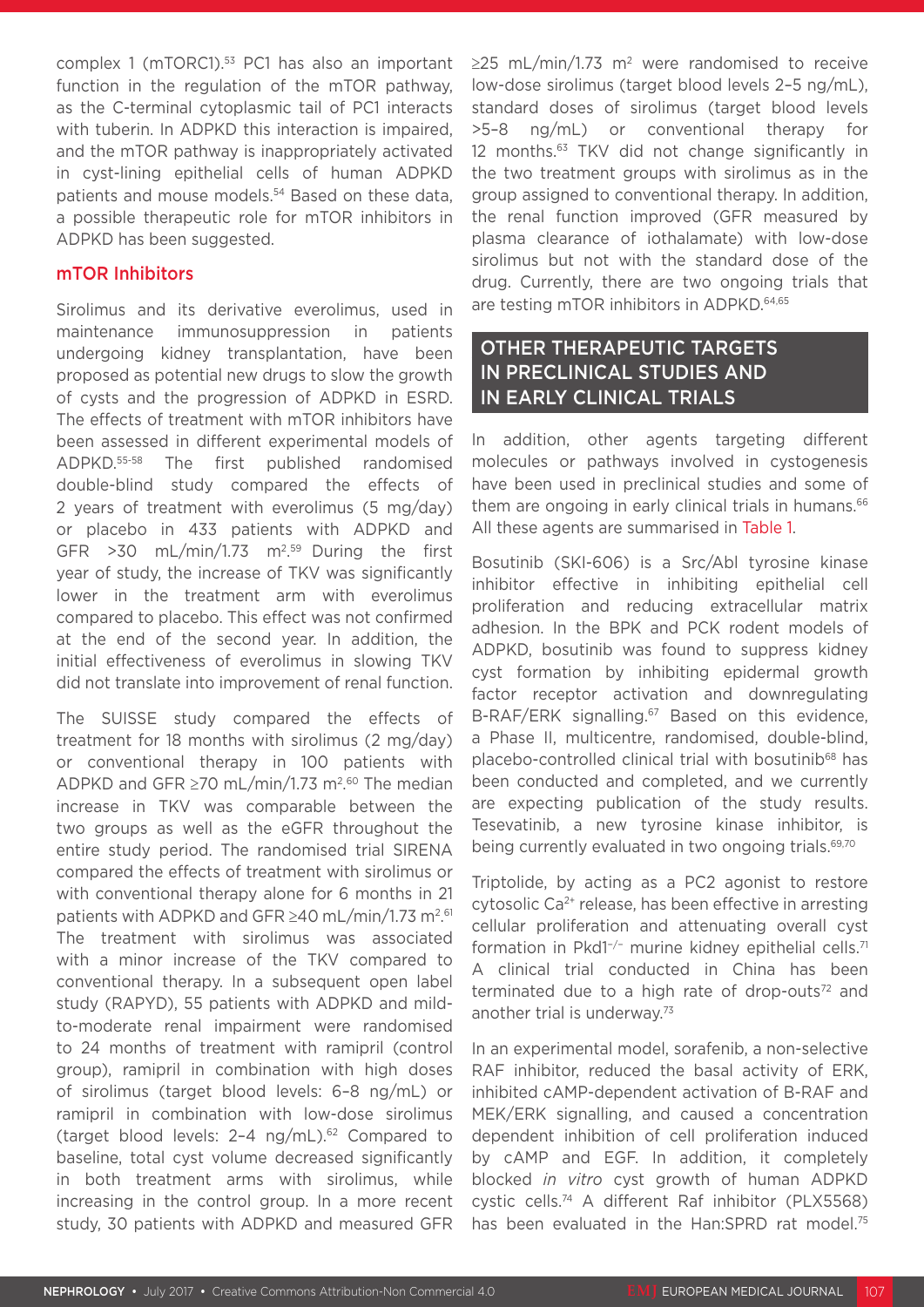complex 1 (mTORC1).<sup>53</sup> PC1 has also an important function in the regulation of the mTOR pathway, as the C-terminal cytoplasmic tail of PC1 interacts with tuberin. In ADPKD this interaction is impaired. and the mTOR pathway is inappropriately activated in cyst-lining epithelial cells of human ADPKD patients and mouse models.<sup>54</sup> Based on these data, a possible therapeutic role for mTOR inhibitors in ADPKD has been suggested.

#### mTOR Inhibitors

Sirolimus and its derivative everolimus, used in maintenance immunosuppression in patients undergoing kidney transplantation, have been proposed as potential new drugs to slow the growth of cysts and the progression of ADPKD in ESRD. The effects of treatment with mTOR inhibitors have been assessed in different experimental models of ADPKD.55-58 The first published randomised double-blind study compared the effects of 2 years of treatment with everolimus (5 mg/day) or placebo in 433 patients with ADPKD and GFR  $>30$  mL/min/1.73 m<sup>2.59</sup> During the first year of study, the increase of TKV was significantly lower in the treatment arm with everolimus compared to placebo. This effect was not confirmed at the end of the second year. In addition, the initial effectiveness of everolimus in slowing TKV did not translate into improvement of renal function.

The SUISSE study compared the effects of treatment for 18 months with sirolimus (2 mg/day) or conventional therapy in 100 patients with ADPKD and GFR  $\geq$ 70 mL/min/1.73 m<sup>2.60</sup> The median increase in TKV was comparable between the two groups as well as the eGFR throughout the entire study period. The randomised trial SIRENA compared the effects of treatment with sirolimus or with conventional therapy alone for 6 months in 21 patients with ADPKD and GFR ≥40 mL/min/1.73 m<sup>2</sup>.<sup>61</sup> The treatment with sirolimus was associated with a minor increase of the TKV compared to conventional therapy. In a subsequent open label study (RAPYD), 55 patients with ADPKD and mildto-moderate renal impairment were randomised to 24 months of treatment with ramipril (control group), ramipril in combination with high doses of sirolimus (target blood levels: 6–8 ng/mL) or ramipril in combination with low-dose sirolimus (target blood levels:  $2-4$  ng/mL).<sup>62</sup> Compared to baseline, total cyst volume decreased significantly in both treatment arms with sirolimus, while increasing in the control group. In a more recent study, 30 patients with ADPKD and measured GFR

≥25 mL/min/1.73 m<sup>2</sup> were randomised to receive low-dose sirolimus (target blood levels 2–5 ng/mL), standard doses of sirolimus (target blood levels >5–8 ng/mL) or conventional therapy for 12 months.63 TKV did not change significantly in the two treatment groups with sirolimus as in the group assigned to conventional therapy. In addition, the renal function improved (GFR measured by plasma clearance of iothalamate) with low-dose sirolimus but not with the standard dose of the drug. Currently, there are two ongoing trials that are testing mTOR inhibitors in ADPKD.<sup>64,65</sup>

# OTHER THERAPEUTIC TARGETS IN PRECLINICAL STUDIES AND IN EARLY CLINICAL TRIALS

In addition, other agents targeting different molecules or pathways involved in cystogenesis have been used in preclinical studies and some of them are ongoing in early clinical trials in humans.<sup>66</sup> All these agents are summarised in Table 1.

Bosutinib (SKI-606) is a Src/Abl tyrosine kinase inhibitor effective in inhibiting epithelial cell proliferation and reducing extracellular matrix adhesion. In the BPK and PCK rodent models of ADPKD, bosutinib was found to suppress kidney cyst formation by inhibiting epidermal growth factor receptor activation and downregulating B-RAF/ERK signalling.<sup>67</sup> Based on this evidence, a Phase II, multicentre, randomised, double-blind, placebo-controlled clinical trial with bosutinib68 has been conducted and completed, and we currently are expecting publication of the study results. Tesevatinib, a new tyrosine kinase inhibitor, is being currently evaluated in two ongoing trials.<sup>69,70</sup>

Triptolide, by acting as a PC2 agonist to restore cytosolic Ca2+ release, has been effective in arresting cellular proliferation and attenuating overall cyst formation in Pkd1−/− murine kidney epithelial cells.71 A clinical trial conducted in China has been terminated due to a high rate of drop-outs $72$  and another trial is underway.<sup>73</sup>

In an experimental model, sorafenib, a non-selective RAF inhibitor, reduced the basal activity of ERK, inhibited cAMP-dependent activation of B-RAF and MEK/ERK signalling, and caused a concentration dependent inhibition of cell proliferation induced by cAMP and EGF. In addition, it completely blocked *in vitro* cyst growth of human ADPKD cystic cells.74 A different Raf inhibitor (PLX5568) has been evaluated in the Han:SPRD rat model.<sup>75</sup>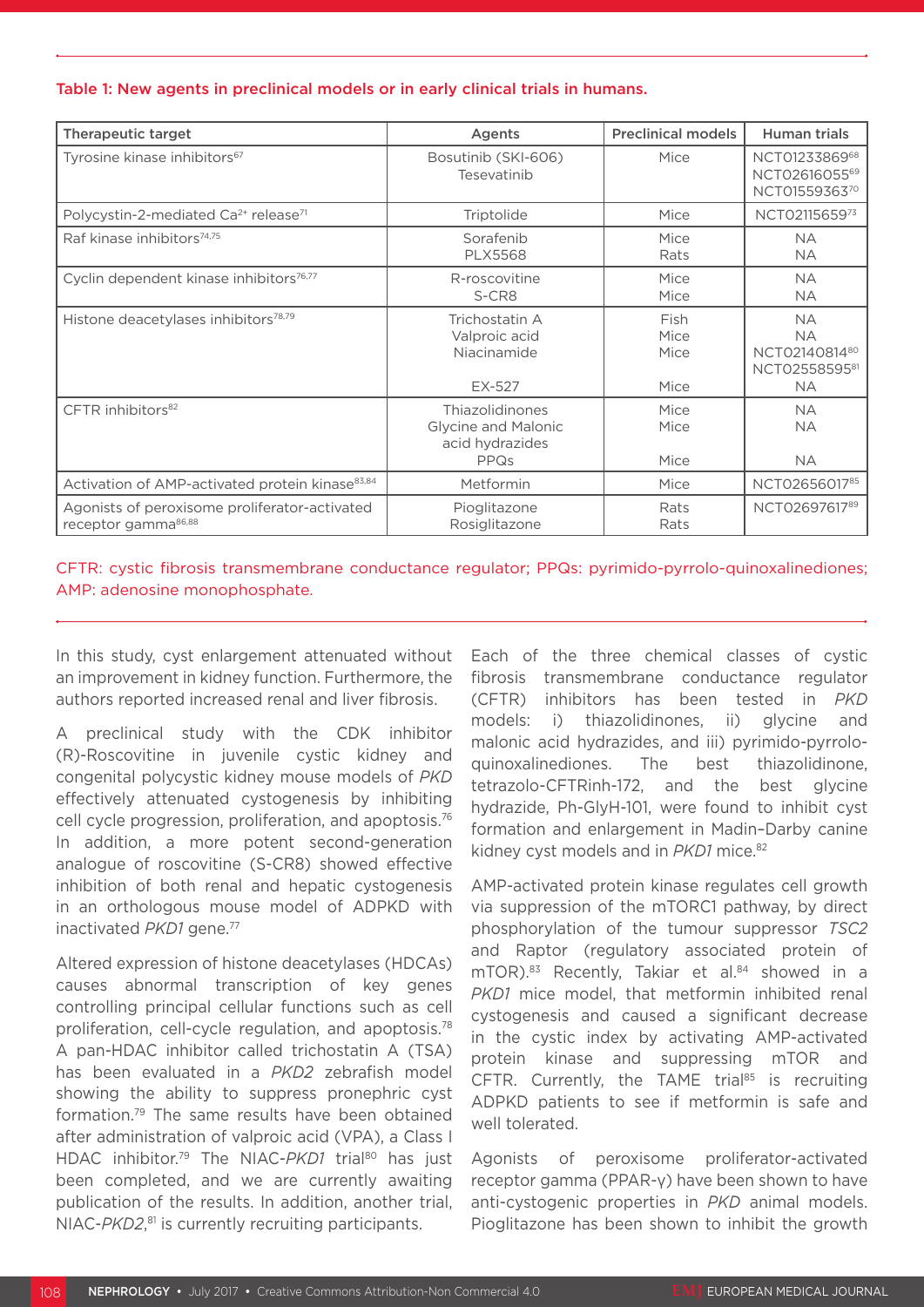#### Table 1: New agents in preclinical models or in early clinical trials in humans.

| <b>Therapeutic target</b>                                                        | Agents                                                            | <b>Preclinical models</b>    | <b>Human trials</b>                                                   |
|----------------------------------------------------------------------------------|-------------------------------------------------------------------|------------------------------|-----------------------------------------------------------------------|
| Tyrosine kinase inhibitors <sup>67</sup>                                         | Bosutinib (SKI-606)<br>Tesevatinib                                | Mice                         | NCT0123386968<br>NCT0261605569<br>NCT0155936370                       |
| Polycystin-2-mediated Ca <sup>2+</sup> release <sup>71</sup>                     | Triptolide                                                        | Mice                         | NCT0211565973                                                         |
| Raf kinase inhibitors <sup>74,75</sup>                                           | Sorafenib<br><b>PLX5568</b>                                       | Mice<br>Rats                 | <b>NA</b><br><b>NA</b>                                                |
| Cyclin dependent kinase inhibitors <sup>76,77</sup>                              | R-roscovitine<br>S-CR8                                            | Mice<br>Mice                 | <b>NA</b><br><b>NA</b>                                                |
| Histone deacetylases inhibitors <sup>78,79</sup>                                 | Trichostatin A<br>Valproic acid<br>Niacinamide<br>EX-527          | Fish<br>Mice<br>Mice<br>Mice | <b>NA</b><br><b>NA</b><br>NCT0214081480<br>NCT0255859581<br><b>NA</b> |
| CFTR inhibitors <sup>82</sup>                                                    | Thiazolidinones<br>Glycine and Malonic<br>acid hydrazides<br>PPQs | Mice<br>Mice<br>Mice         | <b>NA</b><br><b>NA</b><br><b>NA</b>                                   |
| Activation of AMP-activated protein kinase <sup>83,84</sup>                      | Metformin                                                         | Mice                         | NCT0265601785                                                         |
| Agonists of peroxisome proliferator-activated<br>receptor gamma <sup>86,88</sup> | Pioglitazone<br>Rosiglitazone                                     | Rats<br>Rats                 | NCT0269761789                                                         |

#### CFTR: cystic fibrosis transmembrane conductance regulator; PPQs: pyrimido-pyrrolo-quinoxalinediones; AMP: adenosine monophosphate.

In this study, cyst enlargement attenuated without an improvement in kidney function. Furthermore, the authors reported increased renal and liver fibrosis.

A preclinical study with the CDK inhibitor (R)-Roscovitine in juvenile cystic kidney and congenital polycystic kidney mouse models of *PKD* effectively attenuated cystogenesis by inhibiting cell cycle progression, proliferation, and apoptosis.76 In addition, a more potent second-generation analogue of roscovitine (S-CR8) showed effective inhibition of both renal and hepatic cystogenesis in an orthologous mouse model of ADPKD with inactivated *PKD1* gene.77

Altered expression of histone deacetylases (HDCAs) causes abnormal transcription of key genes controlling principal cellular functions such as cell proliferation, cell-cycle regulation, and apoptosis.78 A pan-HDAC inhibitor called trichostatin A (TSA) has been evaluated in a *PKD2* zebrafish model showing the ability to suppress pronephric cyst formation.79 The same results have been obtained after administration of valproic acid (VPA), a Class I HDAC inhibitor.<sup>79</sup> The NIAC-PKD1 trial<sup>80</sup> has just been completed, and we are currently awaiting publication of the results. In addition, another trial, NIAC-*PKD2*, 81 is currently recruiting participants.

Each of the three chemical classes of cystic fibrosis transmembrane conductance regulator (CFTR) inhibitors has been tested in *PKD* models: i) thiazolidinones, ii) glycine and malonic acid hydrazides, and iii) pyrimido-pyrroloquinoxalinediones. The best thiazolidinone, tetrazolo-CFTRinh-172, and the best glycine hydrazide, Ph-GlyH-101, were found to inhibit cyst formation and enlargement in Madin–Darby canine kidney cyst models and in *PKD1* mice.<sup>82</sup>

AMP-activated protein kinase regulates cell growth via suppression of the mTORC1 pathway, by direct phosphorylation of the tumour suppressor *TSC2* and Raptor (regulatory associated protein of mTOR).<sup>83</sup> Recently, Takiar et al.<sup>84</sup> showed in a *PKD1* mice model, that metformin inhibited renal cystogenesis and caused a significant decrease in the cystic index by activating AMP-activated protein kinase and suppressing mTOR and CFTR. Currently, the TAME trial<sup>85</sup> is recruiting ADPKD patients to see if metformin is safe and well tolerated.

Agonists of peroxisome proliferator-activated receptor gamma (PPAR-γ) have been shown to have anti-cystogenic properties in *PKD* animal models. Pioglitazone has been shown to inhibit the growth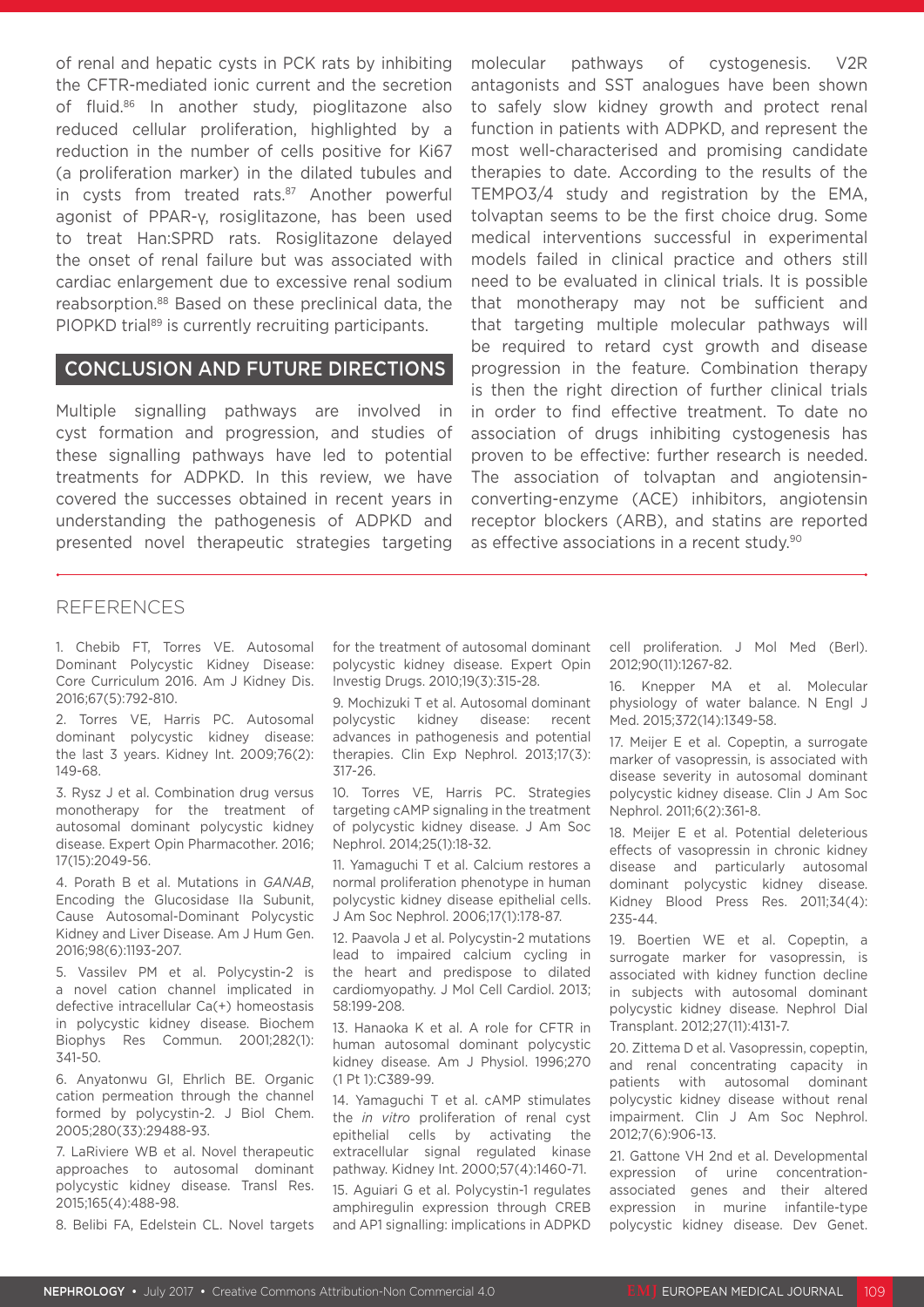of renal and hepatic cysts in PCK rats by inhibiting the CFTR-mediated ionic current and the secretion of fluid.86 In another study, pioglitazone also reduced cellular proliferation, highlighted by a reduction in the number of cells positive for Ki67 (a proliferation marker) in the dilated tubules and in cysts from treated rats.<sup>87</sup> Another powerful agonist of PPAR-γ, rosiglitazone, has been used to treat Han:SPRD rats. Rosiglitazone delayed the onset of renal failure but was associated with cardiac enlargement due to excessive renal sodium reabsorption.88 Based on these preclinical data, the PIOPKD trial<sup>89</sup> is currently recruiting participants.

#### CONCLUSION AND FUTURE DIRECTIONS

Multiple signalling pathways are involved in cyst formation and progression, and studies of these signalling pathways have led to potential treatments for ADPKD. In this review, we have covered the successes obtained in recent years in understanding the pathogenesis of ADPKD and presented novel therapeutic strategies targeting

molecular pathways of cystogenesis. V2R antagonists and SST analogues have been shown to safely slow kidney growth and protect renal function in patients with ADPKD, and represent the most well-characterised and promising candidate therapies to date. According to the results of the TEMPO3/4 study and registration by the EMA, tolvaptan seems to be the first choice drug. Some medical interventions successful in experimental models failed in clinical practice and others still need to be evaluated in clinical trials. It is possible that monotherapy may not be sufficient and that targeting multiple molecular pathways will be required to retard cyst growth and disease progression in the feature. Combination therapy is then the right direction of further clinical trials in order to find effective treatment. To date no association of drugs inhibiting cystogenesis has proven to be effective: further research is needed. The association of tolvaptan and angiotensinconverting-enzyme (ACE) inhibitors, angiotensin receptor blockers (ARB), and statins are reported as effective associations in a recent study.90

#### **REFERENCES**

1. Chebib FT, Torres VE. Autosomal Dominant Polycystic Kidney Disease: Core Curriculum 2016. Am J Kidney Dis. 2016;67(5):792-810.

2. Torres VE, Harris PC. Autosomal dominant polycystic kidney disease: the last 3 years. Kidney Int. 2009;76(2): 149-68.

3. Rysz J et al. Combination drug versus monotherapy for the treatment of autosomal dominant polycystic kidney disease. Expert Opin Pharmacother. 2016; 17(15):2049-56.

4. Porath B et al. Mutations in *GANAB*, Encoding the Glucosidase IIa Subunit, Cause Autosomal-Dominant Polycystic Kidney and Liver Disease. Am J Hum Gen. 2016;98(6):1193-207.

5. Vassilev PM et al. Polycystin-2 is a novel cation channel implicated in defective intracellular Ca(+) homeostasis in polycystic kidney disease. Biochem Biophys Res Commun. 2001;282(1): 341-50.

6. Anyatonwu GI, Ehrlich BE. Organic cation permeation through the channel formed by polycystin-2. J Biol Chem. 2005;280(33):29488-93.

7. LaRiviere WB et al. Novel therapeutic approaches to autosomal dominant polycystic kidney disease. Transl Res. 2015;165(4):488-98.

8. Belibi FA, Edelstein CL. Novel targets

for the treatment of autosomal dominant polycystic kidney disease. Expert Opin Investig Drugs. 2010;19(3):315-28.

9. Mochizuki T et al. Autosomal dominant polycystic kidney disease: recent advances in pathogenesis and potential therapies. Clin Exp Nephrol. 2013;17(3): 317-26.

10. Torres VE, Harris PC. Strategies targeting cAMP signaling in the treatment of polycystic kidney disease. J Am Soc Nephrol. 2014;25(1):18-32.

11. Yamaguchi T et al. Calcium restores a normal proliferation phenotype in human polycystic kidney disease epithelial cells. J Am Soc Nephrol. 2006;17(1):178-87.

12. Paavola J et al. Polycystin-2 mutations lead to impaired calcium cycling in the heart and predispose to dilated cardiomyopathy. J Mol Cell Cardiol. 2013; 58:199-208.

13. Hanaoka K et al. A role for CFTR in human autosomal dominant polycystic kidney disease. Am J Physiol. 1996;270 (1 Pt 1):C389-99.

14. Yamaguchi T et al. cAMP stimulates the *in vitro* proliferation of renal cyst epithelial cells by activating the extracellular signal regulated kinase pathway. Kidney Int. 2000;57(4):1460-71.

15. Aguiari G et al. Polycystin-1 regulates amphiregulin expression through CREB and AP1 signalling: implications in ADPKD cell proliferation. J Mol Med (Berl). 2012;90(11):1267-82.

16. Knepper MA et al. Molecular physiology of water balance. N Engl J Med. 2015;372(14):1349-58.

17. Meijer E et al. Copeptin, a surrogate marker of vasopressin, is associated with disease severity in autosomal dominant polycystic kidney disease. Clin J Am Soc Nephrol. 2011;6(2):361-8.

18. Meijer E et al. Potential deleterious effects of vasopressin in chronic kidney disease and particularly autosomal dominant polycystic kidney disease. Kidney Blood Press Res. 2011;34(4): 235-44.

19. Boertien WE et al. Copeptin, a surrogate marker for vasopressin, is associated with kidney function decline in subjects with autosomal dominant polycystic kidney disease. Nephrol Dial Transplant. 2012;27(11):4131-7.

20. Zittema D et al. Vasopressin, copeptin, and renal concentrating capacity in patients with autosomal dominant polycystic kidney disease without renal impairment. Clin J Am Soc Nephrol. 2012;7(6):906-13.

21. Gattone VH 2nd et al. Developmental expression of urine concentrationassociated genes and their altered expression in murine infantile-type polycystic kidney disease. Dev Genet.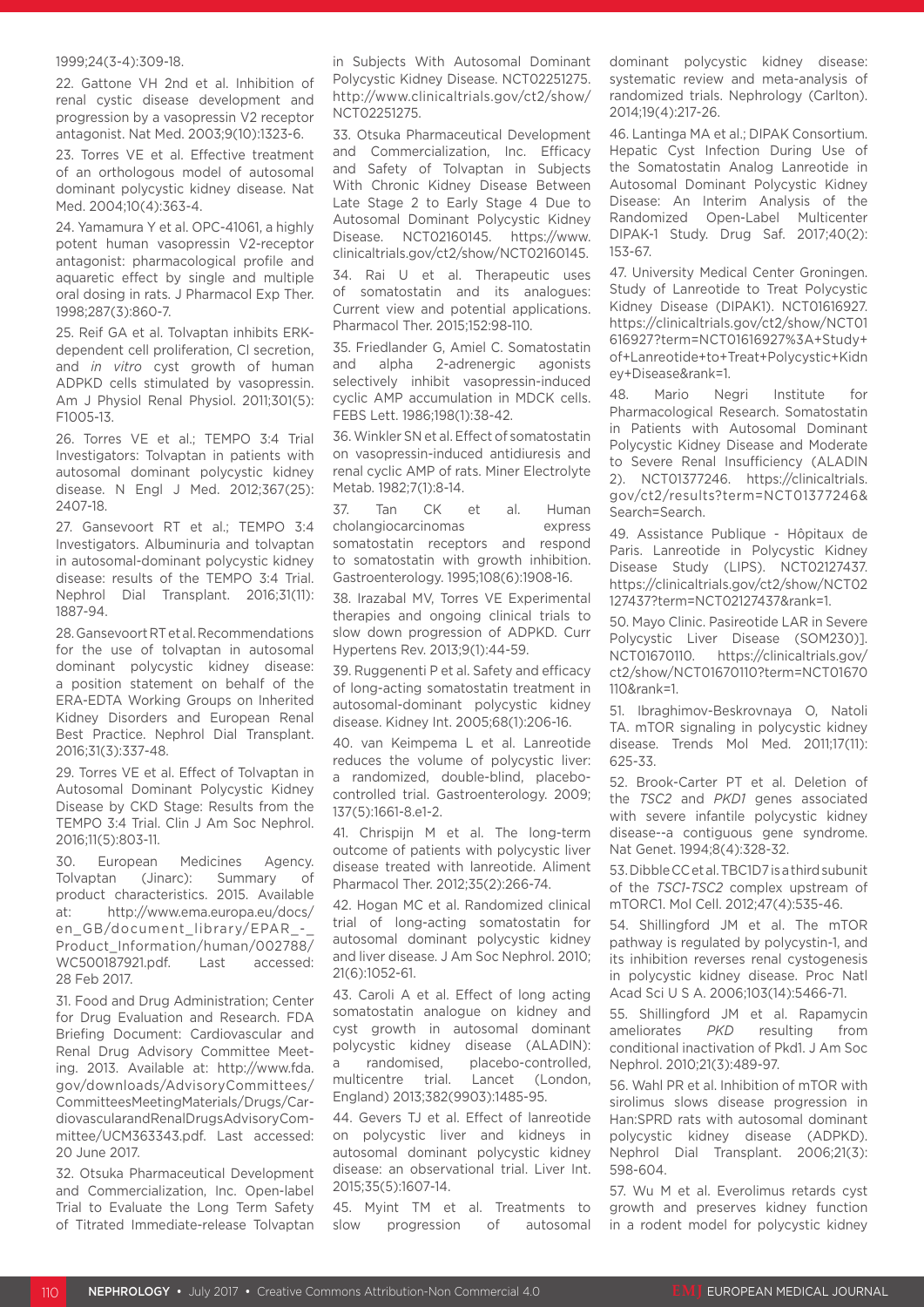#### 1999;24(3-4):309-18.

22. Gattone VH 2nd et al. Inhibition of renal cystic disease development and progression by a vasopressin V2 receptor antagonist. Nat Med. 2003;9(10):1323-6.

23. Torres VE et al. Effective treatment of an orthologous model of autosomal dominant polycystic kidney disease. Nat Med. 2004;10(4):363-4.

24. Yamamura Y et al. OPC-41061, a highly potent human vasopressin V2-receptor antagonist: pharmacological profile and aquaretic effect by single and multiple oral dosing in rats. J Pharmacol Exp Ther. 1998;287(3):860-7.

25. Reif GA et al. Tolvaptan inhibits ERKdependent cell proliferation, Cl secretion, and *in vitro* cyst growth of human ADPKD cells stimulated by vasopressin. Am J Physiol Renal Physiol. 2011;301(5): F1005-13.

26. Torres VE et al.; TEMPO 3:4 Trial Investigators: Tolvaptan in patients with autosomal dominant polycystic kidney disease. N Engl J Med. 2012;367(25): 2407-18.

27. Gansevoort RT et al.; TEMPO 3:4 Investigators. Albuminuria and tolvaptan in autosomal-dominant polycystic kidney disease: results of the TEMPO 3:4 Trial. Nephrol Dial Transplant. 2016;31(11): 1887-94.

28. Gansevoort RT et al. Recommendations for the use of tolvaptan in autosomal dominant polycystic kidney disease: a position statement on behalf of the ERA-EDTA Working Groups on Inherited Kidney Disorders and European Renal Best Practice. Nephrol Dial Transplant. 2016;31(3):337-48.

29. Torres VE et al. Effect of Tolvaptan in Autosomal Dominant Polycystic Kidney Disease by CKD Stage: Results from the TEMPO 3:4 Trial. Clin J Am Soc Nephrol. 2016;11(5):803-11.

30. European Medicines Agency. Tolvaptan (Jinarc): Summary of product characteristics. 2015. Available at: http://www.ema.europa.eu/docs/ en\_GB/document\_library/EPAR\_-Product\_Information/human/002788/ WC500187921.pdf. Last accessed: 28 Feb 2017.

31. Food and Drug Administration; Center for Drug Evaluation and Research. FDA Briefing Document: Cardiovascular and Renal Drug Advisory Committee Meeting. 2013. Available at: http://www.fda. gov/downloads/AdvisoryCommittees/ CommitteesMeetingMaterials/Drugs/CardiovascularandRenalDrugsAdvisoryCommittee/UCM363343.pdf. Last accessed: 20 June 2017.

32. Otsuka Pharmaceutical Development and Commercialization, Inc. Open-label Trial to Evaluate the Long Term Safety of Titrated Immediate-release Tolvaptan in Subjects With Autosomal Dominant Polycystic Kidney Disease. NCT02251275. http://www.clinicaltrials.gov/ct2/show/ NCT02251275.

33. Otsuka Pharmaceutical Development and Commercialization, Inc. Efficacy and Safety of Tolvaptan in Subjects With Chronic Kidney Disease Between Late Stage 2 to Early Stage 4 Due to Autosomal Dominant Polycystic Kidney Disease. NCT02160145. https://www. clinicaltrials.gov/ct2/show/NCT02160145.

34. Rai U et al. Therapeutic uses of somatostatin and its analogues: Current view and potential applications. Pharmacol Ther. 2015;152:98-110.

35. Friedlander G, Amiel C. Somatostatin and alpha 2-adrenergic agonists selectively inhibit vasopressin-induced cyclic AMP accumulation in MDCK cells. FEBS Lett. 1986;198(1):38-42.

36. Winkler SN et al. Effect of somatostatin on vasopressin-induced antidiuresis and renal cyclic AMP of rats. Miner Electrolyte Metab. 1982;7(1):8-14.

37. Tan CK et al. Human cholangiocarcinomas express somatostatin receptors and respond to somatostatin with growth inhibition. Gastroenterology. 1995;108(6):1908-16.

38. Irazabal MV, Torres VE Experimental therapies and ongoing clinical trials to slow down progression of ADPKD. Curr Hypertens Rev. 2013;9(1):44-59.

39. Ruggenenti P et al. Safety and efficacy of long-acting somatostatin treatment in autosomal-dominant polycystic kidney disease. Kidney Int. 2005;68(1):206-16.

40. van Keimpema L et al. Lanreotide reduces the volume of polycystic liver: a randomized, double-blind, placebocontrolled trial. Gastroenterology. 2009; 137(5):1661-8.e1-2.

41. Chrispijn M et al. The long-term outcome of patients with polycystic liver disease treated with lanreotide. Aliment Pharmacol Ther. 2012;35(2):266-74.

42. Hogan MC et al. Randomized clinical trial of long-acting somatostatin for autosomal dominant polycystic kidney and liver disease. J Am Soc Nephrol. 2010; 21(6):1052-61.

43. Caroli A et al. Effect of long acting somatostatin analogue on kidney and cyst growth in autosomal dominant polycystic kidney disease (ALADIN): a randomised, placebo-controlled, multicentre trial. Lancet (London, England) 2013;382(9903):1485-95.

44. Gevers TJ et al. Effect of lanreotide on polycystic liver and kidneys in autosomal dominant polycystic kidney disease: an observational trial. Liver Int. 2015;35(5):1607-14.

45. Myint TM et al. Treatments to slow progression of autosomal dominant polycystic kidney disease: systematic review and meta-analysis of randomized trials. Nephrology (Carlton). 2014;19(4):217-26.

46. Lantinga MA et al.; DIPAK Consortium. Hepatic Cyst Infection During Use of the Somatostatin Analog Lanreotide in Autosomal Dominant Polycystic Kidney Disease: An Interim Analysis of the Randomized Open-Label Multicenter DIPAK-1 Study. Drug Saf. 2017;40(2): 153-67.

47. University Medical Center Groningen. Study of Lanreotide to Treat Polycystic Kidney Disease (DIPAK1). NCT01616927. https://clinicaltrials.gov/ct2/show/NCT01 616927?term=NCT01616927%3A+Study+ of+Lanreotide+to+Treat+Polycystic+Kidn ey+Disease&rank=1.

48. Mario Negri Institute for Pharmacological Research. Somatostatin in Patients with Autosomal Dominant Polycystic Kidney Disease and Moderate to Severe Renal Insufficiency (ALADIN 2). NCT01377246. https://clinicaltrials. gov/ct2/results?term=NCT01377246& Search=Search.

49. Assistance Publique - Hôpitaux de Paris. Lanreotide in Polycystic Kidney Disease Study (LIPS). NCT02127437. https://clinicaltrials.gov/ct2/show/NCT02 127437?term=NCT02127437&rank=1.

50. Mayo Clinic. Pasireotide LAR in Severe Polycystic Liver Disease (SOM230)]. NCT01670110. https://clinicaltrials.gov/ ct2/show/NCT01670110?term=NCT01670 110&rank=1.

51. Ibraghimov-Beskrovnaya O, Natoli TA. mTOR signaling in polycystic kidney disease. Trends Mol Med. 2011;17(11): 625-33.

52. Brook-Carter PT et al. Deletion of the *TSC2* and *PKD1* genes associated with severe infantile polycystic kidney disease--a contiguous gene syndrome. Nat Genet. 1994;8(4):328-32.

53. Dibble CC et al. TBC1D7 is a third subunit of the *TSC1*-*TSC2* complex upstream of mTORC1. Mol Cell. 2012;47(4):535-46.

54. Shillingford JM et al. The mTOR pathway is regulated by polycystin-1, and its inhibition reverses renal cystogenesis in polycystic kidney disease. Proc Natl Acad Sci U S A. 2006;103(14):5466-71.

55. Shillingford JM et al. Rapamycin ameliorates *PKD* resulting from conditional inactivation of Pkd1. J Am Soc Nephrol. 2010;21(3):489-97.

56. Wahl PR et al. Inhibition of mTOR with sirolimus slows disease progression in Han:SPRD rats with autosomal dominant polycystic kidney disease (ADPKD). Nephrol Dial Transplant. 2006;21(3): 598-604.

57. Wu M et al. Everolimus retards cyst growth and preserves kidney function in a rodent model for polycystic kidney